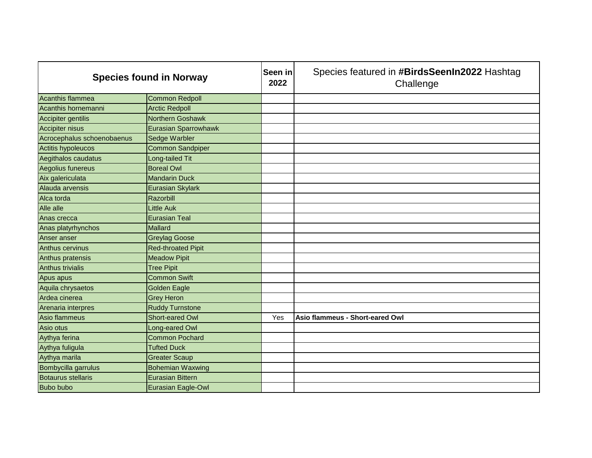| <b>Species found in Norway</b> |                             | Seen in<br>2022 | Species featured in #BirdsSeenIn2022 Hashtag<br>Challenge |
|--------------------------------|-----------------------------|-----------------|-----------------------------------------------------------|
| Acanthis flammea               | Common Redpoll              |                 |                                                           |
| Acanthis hornemanni            | <b>Arctic Redpoll</b>       |                 |                                                           |
| Accipiter gentilis             | Northern Goshawk            |                 |                                                           |
| <b>Accipiter nisus</b>         | <b>Eurasian Sparrowhawk</b> |                 |                                                           |
| Acrocephalus schoenobaenus     | Sedge Warbler               |                 |                                                           |
| Actitis hypoleucos             | Common Sandpiper            |                 |                                                           |
| Aegithalos caudatus            | Long-tailed Tit             |                 |                                                           |
| Aegolius funereus              | <b>Boreal Owl</b>           |                 |                                                           |
| Aix galericulata               | <b>Mandarin Duck</b>        |                 |                                                           |
| Alauda arvensis                | Eurasian Skylark            |                 |                                                           |
| Alca torda                     | Razorbill                   |                 |                                                           |
| Alle alle                      | Little Auk                  |                 |                                                           |
| Anas crecca                    | <b>Eurasian Teal</b>        |                 |                                                           |
| Anas platyrhynchos             | <b>Mallard</b>              |                 |                                                           |
| Anser anser                    | <b>Greylag Goose</b>        |                 |                                                           |
| <b>Anthus cervinus</b>         | <b>Red-throated Pipit</b>   |                 |                                                           |
| Anthus pratensis               | <b>Meadow Pipit</b>         |                 |                                                           |
| Anthus trivialis               | <b>Tree Pipit</b>           |                 |                                                           |
| Apus apus                      | <b>Common Swift</b>         |                 |                                                           |
| Aquila chrysaetos              | <b>Golden Eagle</b>         |                 |                                                           |
| Ardea cinerea                  | <b>Grey Heron</b>           |                 |                                                           |
| Arenaria interpres             | <b>Ruddy Turnstone</b>      |                 |                                                           |
| Asio flammeus                  | Short-eared Owl             | Yes             | Asio flammeus - Short-eared Owl                           |
| Asio otus                      | Long-eared Owl              |                 |                                                           |
| Aythya ferina                  | <b>Common Pochard</b>       |                 |                                                           |
| Aythya fuligula                | <b>Tufted Duck</b>          |                 |                                                           |
| Aythya marila                  | <b>Greater Scaup</b>        |                 |                                                           |
| Bombycilla garrulus            | <b>Bohemian Waxwing</b>     |                 |                                                           |
| <b>Botaurus stellaris</b>      | <b>Eurasian Bittern</b>     |                 |                                                           |
| Bubo bubo                      | Eurasian Eagle-Owl          |                 |                                                           |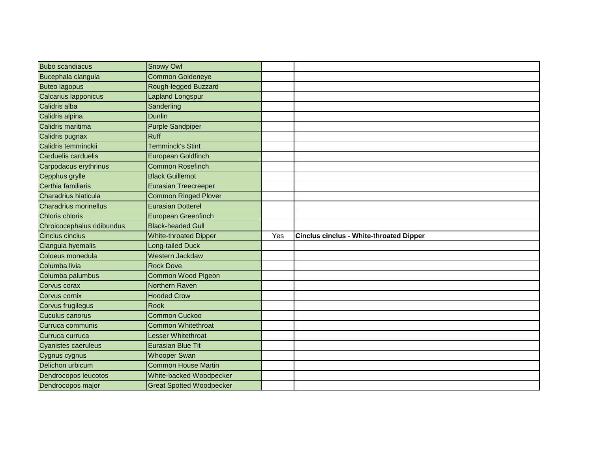| <b>Bubo scandiacus</b>       | <b>Snowy Owl</b>                |     |                                                |
|------------------------------|---------------------------------|-----|------------------------------------------------|
| Bucephala clangula           | <b>Common Goldeneye</b>         |     |                                                |
| <b>Buteo lagopus</b>         | Rough-legged Buzzard            |     |                                                |
| Calcarius Iapponicus         | Lapland Longspur                |     |                                                |
| Calidris alba                | Sanderling                      |     |                                                |
| Calidris alpina              | <b>Dunlin</b>                   |     |                                                |
| Calidris maritima            | <b>Purple Sandpiper</b>         |     |                                                |
| Calidris pugnax              | <b>Ruff</b>                     |     |                                                |
| Calidris temminckii          | Temminck's Stint                |     |                                                |
| <b>Carduelis carduelis</b>   | European Goldfinch              |     |                                                |
| Carpodacus erythrinus        | <b>Common Rosefinch</b>         |     |                                                |
| Cepphus grylle               | <b>Black Guillemot</b>          |     |                                                |
| Certhia familiaris           | <b>Eurasian Treecreeper</b>     |     |                                                |
| Charadrius hiaticula         | <b>Common Ringed Plover</b>     |     |                                                |
| <b>Charadrius morinellus</b> | <b>Eurasian Dotterel</b>        |     |                                                |
| <b>Chloris chloris</b>       | <b>European Greenfinch</b>      |     |                                                |
| Chroicocephalus ridibundus   | <b>Black-headed Gull</b>        |     |                                                |
| <b>Cinclus cinclus</b>       | <b>White-throated Dipper</b>    | Yes | <b>Cinclus cinclus - White-throated Dipper</b> |
| Clangula hyemalis            | _ong-tailed Duck                |     |                                                |
| Coloeus monedula             | Western Jackdaw                 |     |                                                |
| Columba livia                | <b>Rock Dove</b>                |     |                                                |
| Columba palumbus             | <b>Common Wood Pigeon</b>       |     |                                                |
| Corvus corax                 | Northern Raven                  |     |                                                |
| Corvus cornix                | <b>Hooded Crow</b>              |     |                                                |
| Corvus frugilegus            | <b>Rook</b>                     |     |                                                |
| <b>Cuculus canorus</b>       | Common Cuckoo                   |     |                                                |
| Curruca communis             | <b>Common Whitethroat</b>       |     |                                                |
| Curruca curruca              | Lesser Whitethroat              |     |                                                |
| <b>Cyanistes caeruleus</b>   | <b>Eurasian Blue Tit</b>        |     |                                                |
| Cygnus cygnus                | <b>Whooper Swan</b>             |     |                                                |
| Delichon urbicum             | <b>Common House Martin</b>      |     |                                                |
| Dendrocopos leucotos         | <b>White-backed Woodpecker</b>  |     |                                                |
| Dendrocopos major            | <b>Great Spotted Woodpecker</b> |     |                                                |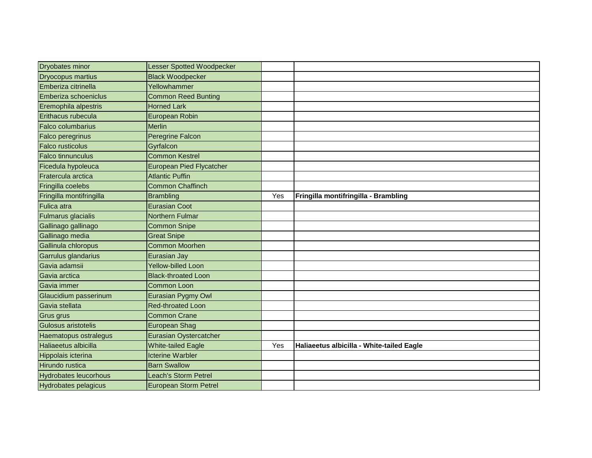| <b>Dryobates minor</b>       | Lesser Spotted Woodpecker       |     |                                           |
|------------------------------|---------------------------------|-----|-------------------------------------------|
| <b>Dryocopus martius</b>     | <b>Black Woodpecker</b>         |     |                                           |
| Emberiza citrinella          | Yellowhammer                    |     |                                           |
| Emberiza schoeniclus         | <b>Common Reed Bunting</b>      |     |                                           |
| Eremophila alpestris         | <b>Horned Lark</b>              |     |                                           |
| Erithacus rubecula           | European Robin                  |     |                                           |
| <b>Falco columbarius</b>     | <b>Merlin</b>                   |     |                                           |
| <b>Falco peregrinus</b>      | <b>Peregrine Falcon</b>         |     |                                           |
| <b>Falco rusticolus</b>      | Gyrfalcon                       |     |                                           |
| <b>Falco tinnunculus</b>     | <b>Common Kestrel</b>           |     |                                           |
| Ficedula hypoleuca           | <b>European Pied Flycatcher</b> |     |                                           |
| Fratercula arctica           | <b>Atlantic Puffin</b>          |     |                                           |
| Fringilla coelebs            | <b>Common Chaffinch</b>         |     |                                           |
| Fringilla montifringilla     | <b>Brambling</b>                | Yes | Fringilla montifringilla - Brambling      |
| <b>Fulica atra</b>           | <b>Eurasian Coot</b>            |     |                                           |
| <b>Fulmarus glacialis</b>    | <b>Northern Fulmar</b>          |     |                                           |
| Gallinago gallinago          | <b>Common Snipe</b>             |     |                                           |
| Gallinago media              | <b>Great Snipe</b>              |     |                                           |
| Gallinula chloropus          | <b>Common Moorhen</b>           |     |                                           |
| Garrulus glandarius          | <b>Eurasian Jay</b>             |     |                                           |
| Gavia adamsii                | Yellow-billed Loon              |     |                                           |
| Gavia arctica                | <b>Black-throated Loon</b>      |     |                                           |
| Gavia immer                  | <b>Common Loon</b>              |     |                                           |
| Glaucidium passerinum        | Eurasian Pygmy Owl              |     |                                           |
| Gavia stellata               | <b>Red-throated Loon</b>        |     |                                           |
| <b>Grus grus</b>             | <b>Common Crane</b>             |     |                                           |
| Gulosus aristotelis          | <b>European Shag</b>            |     |                                           |
| Haematopus ostralegus        | Eurasian Oystercatcher          |     |                                           |
| Haliaeetus albicilla         | <b>White-tailed Eagle</b>       | Yes | Haliaeetus albicilla - White-tailed Eagle |
| Hippolais icterina           | <b>Icterine Warbler</b>         |     |                                           |
| Hirundo rustica              | <b>Barn Swallow</b>             |     |                                           |
| <b>Hydrobates leucorhous</b> | Leach's Storm Petrel            |     |                                           |
| <b>Hydrobates pelagicus</b>  | European Storm Petrel           |     |                                           |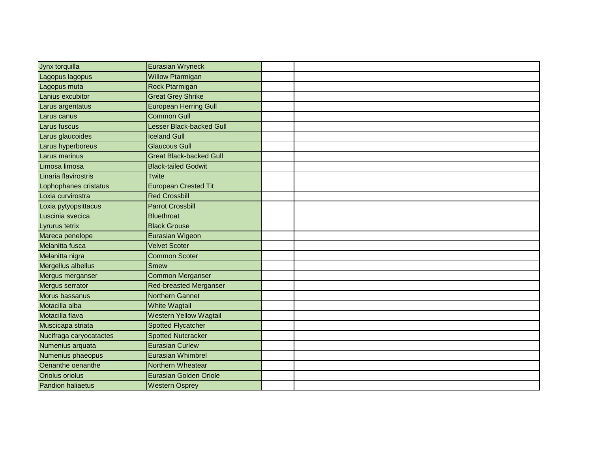| Jynx torquilla           | <b>Eurasian Wryneck</b>        |  |
|--------------------------|--------------------------------|--|
| Lagopus lagopus          | <b>Willow Ptarmigan</b>        |  |
| Lagopus muta             | Rock Ptarmigan                 |  |
| Lanius excubitor         | <b>Great Grey Shrike</b>       |  |
| Larus argentatus         | <b>European Herring Gull</b>   |  |
| Larus canus              | <b>Common Gull</b>             |  |
| Larus fuscus             | Lesser Black-backed Gull       |  |
| Larus glaucoides         | <b>Iceland Gull</b>            |  |
| Larus hyperboreus        | <b>Glaucous Gull</b>           |  |
| Larus marinus            | <b>Great Black-backed Gull</b> |  |
| Limosa limosa            | <b>Black-tailed Godwit</b>     |  |
| Linaria flavirostris     | Twite                          |  |
| Lophophanes cristatus    | <b>European Crested Tit</b>    |  |
| Loxia curvirostra        | <b>Red Crossbill</b>           |  |
| Loxia pytyopsittacus     | <b>Parrot Crossbill</b>        |  |
| Luscinia svecica         | <b>Bluethroat</b>              |  |
| Lyrurus tetrix           | <b>Black Grouse</b>            |  |
| Mareca penelope          | Eurasian Wigeon                |  |
| Melanitta fusca          | <b>Velvet Scoter</b>           |  |
| Melanitta nigra          | <b>Common Scoter</b>           |  |
| Mergellus albellus       | <b>Smew</b>                    |  |
| Mergus merganser         | <b>Common Merganser</b>        |  |
| Mergus serrator          | <b>Red-breasted Merganser</b>  |  |
| Morus bassanus           | <b>Northern Gannet</b>         |  |
| Motacilla alba           | White Wagtail                  |  |
| Motacilla flava          | <b>Western Yellow Wagtail</b>  |  |
| Muscicapa striata        | <b>Spotted Flycatcher</b>      |  |
| Nucifraga caryocatactes  | <b>Spotted Nutcracker</b>      |  |
| Numenius arquata         | <b>Eurasian Curlew</b>         |  |
| Numenius phaeopus        | <b>Eurasian Whimbrel</b>       |  |
| Oenanthe oenanthe        | Northern Wheatear              |  |
| Oriolus oriolus          | <b>Eurasian Golden Oriole</b>  |  |
| <b>Pandion haliaetus</b> | <b>Western Osprey</b>          |  |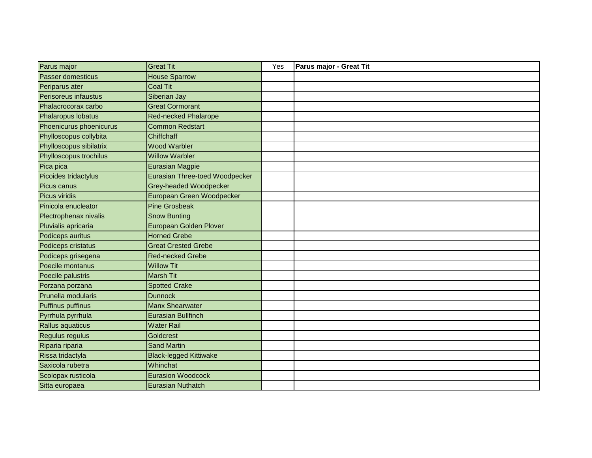| Parus major              | <b>Great Tit</b>                      | Yes | Parus major - Great Tit |
|--------------------------|---------------------------------------|-----|-------------------------|
| <b>Passer domesticus</b> | <b>House Sparrow</b>                  |     |                         |
| Periparus ater           | <b>Coal Tit</b>                       |     |                         |
| Perisoreus infaustus     | Siberian Jay                          |     |                         |
| Phalacrocorax carbo      | <b>Great Cormorant</b>                |     |                         |
| Phalaropus lobatus       | <b>Red-necked Phalarope</b>           |     |                         |
| Phoenicurus phoenicurus  | <b>Common Redstart</b>                |     |                         |
| Phylloscopus collybita   | Chiffchaff                            |     |                         |
| Phylloscopus sibilatrix  | <b>Wood Warbler</b>                   |     |                         |
| Phylloscopus trochilus   | <b>Willow Warbler</b>                 |     |                         |
| Pica pica                | <b>Eurasian Magpie</b>                |     |                         |
| Picoides tridactylus     | <b>Eurasian Three-toed Woodpecker</b> |     |                         |
| Picus canus              | Grey-headed Woodpecker                |     |                         |
| Picus viridis            | European Green Woodpecker             |     |                         |
| Pinicola enucleator      | <b>Pine Grosbeak</b>                  |     |                         |
| Plectrophenax nivalis    | <b>Snow Bunting</b>                   |     |                         |
| Pluvialis apricaria      | <b>European Golden Plover</b>         |     |                         |
| Podiceps auritus         | <b>Horned Grebe</b>                   |     |                         |
| Podiceps cristatus       | <b>Great Crested Grebe</b>            |     |                         |
| Podiceps grisegena       | <b>Red-necked Grebe</b>               |     |                         |
| Poecile montanus         | <b>Willow Tit</b>                     |     |                         |
| Poecile palustris        | <b>Marsh Tit</b>                      |     |                         |
| Porzana porzana          | <b>Spotted Crake</b>                  |     |                         |
| Prunella modularis       | <b>Dunnock</b>                        |     |                         |
| <b>Puffinus puffinus</b> | Manx Shearwater                       |     |                         |
| Pyrrhula pyrrhula        | <b>Eurasian Bullfinch</b>             |     |                         |
| Rallus aquaticus         | <b>Water Rail</b>                     |     |                         |
| Regulus regulus          | Goldcrest                             |     |                         |
| Riparia riparia          | <b>Sand Martin</b>                    |     |                         |
| Rissa tridactyla         | <b>Black-legged Kittiwake</b>         |     |                         |
| Saxicola rubetra         | Whinchat                              |     |                         |
| Scolopax rusticola       | <b>Eurasion Woodcock</b>              |     |                         |
| Sitta europaea           | <b>Eurasian Nuthatch</b>              |     |                         |